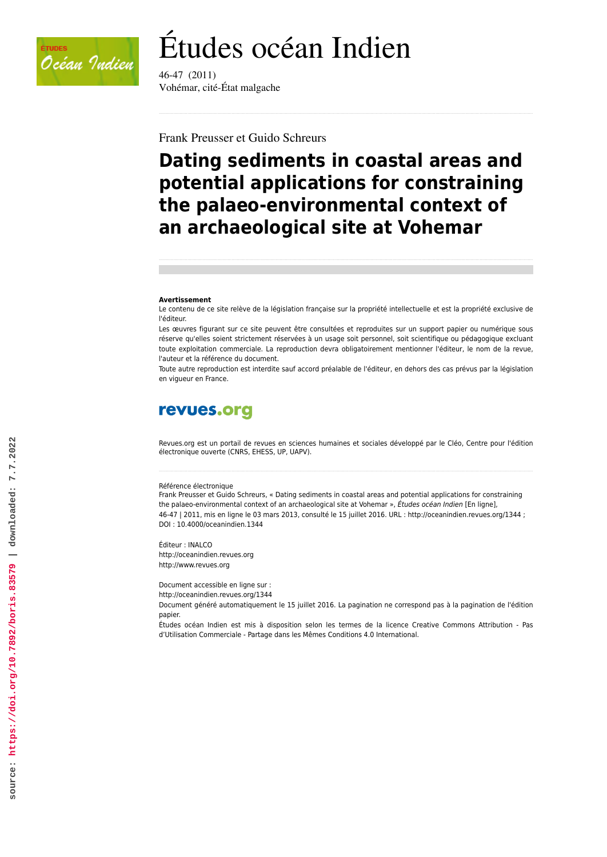

# Études océan Indien

46-47 (2011) Vohémar, cité-État malgache

Frank Preusser et Guido Schreurs

# **Dating sediments in coastal areas and potential applications for constraining the palaeo-environmental context of an archaeological site at Vohemar**

#### **Avertissement**

Le contenu de ce site relève de la législation française sur la propriété intellectuelle et est la propriété exclusive de l'éditeur.

Les œuvres figurant sur ce site peuvent être consultées et reproduites sur un support papier ou numérique sous réserve qu'elles soient strictement réservées à un usage soit personnel, soit scientifique ou pédagogique excluant toute exploitation commerciale. La reproduction devra obligatoirement mentionner l'éditeur, le nom de la revue, l'auteur et la référence du document.

Toute autre reproduction est interdite sauf accord préalable de l'éditeur, en dehors des cas prévus par la législation en vigueur en France.

# revues.org

Revues.org est un portail de revues en sciences humaines et sociales développé par le Cléo, Centre pour l'édition électronique ouverte (CNRS, EHESS, UP, UAPV).

#### Référence électronique

Frank Preusser et Guido Schreurs, « Dating sediments in coastal areas and potential applications for constraining the palaeo-environmental context of an archaeological site at Vohemar », *Études océan Indien* [En ligne], 46-47 | 2011, mis en ligne le 03 mars 2013, consulté le 15 juillet 2016. URL : http://oceanindien.revues.org/1344 ; DOI : 10.4000/oceanindien.1344

Éditeur : INALCO <http://oceanindien.revues.org> [http://www.revues.org](http://www.revues.org/)

Document accessible en ligne sur :

<http://oceanindien.revues.org/1344>

Document généré automatiquement le 15 juillet 2016. La pagination ne correspond pas à la pagination de l'édition papier.

Études océan Indien est mis à disposition selon les termes de la licence Creative Commons Attribution - Pas d'Utilisation Commerciale - Partage dans les Mêmes Conditions 4.0 International.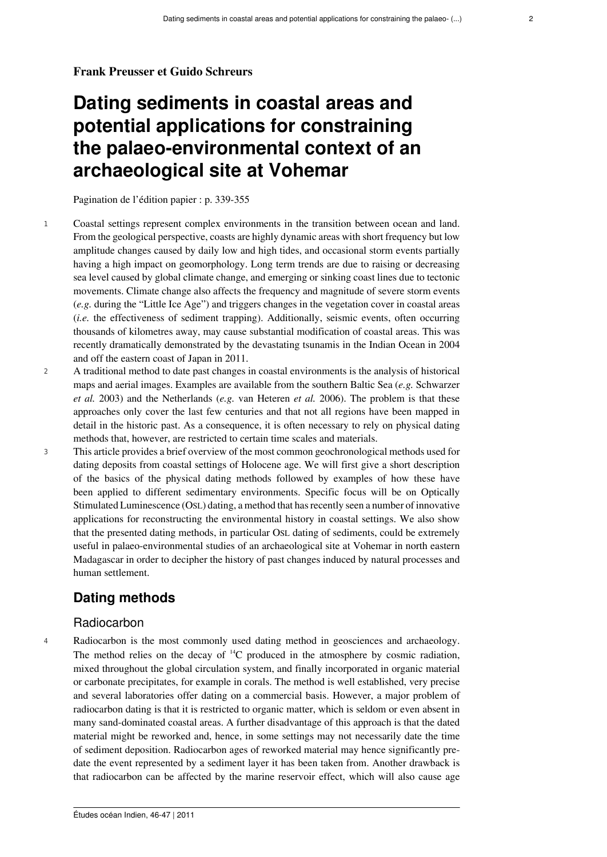#### **Frank Preusser et Guido Schreurs**

# **Dating sediments in coastal areas and potential applications for constraining the palaeo-environmental context of an archaeological site at Vohemar**

Pagination de l'édition papier : p. 339-355

- <sup>1</sup> Coastal settings represent complex environments in the transition between ocean and land. From the geological perspective, coasts are highly dynamic areas with short frequency but low amplitude changes caused by daily low and high tides, and occasional storm events partially having a high impact on geomorphology. Long term trends are due to raising or decreasing sea level caused by global climate change, and emerging or sinking coast lines due to tectonic movements. Climate change also affects the frequency and magnitude of severe storm events (*e.g.* during the "Little Ice Age") and triggers changes in the vegetation cover in coastal areas (*i.e.* the effectiveness of sediment trapping). Additionally, seismic events, often occurring thousands of kilometres away, may cause substantial modification of coastal areas. This was recently dramatically demonstrated by the devastating tsunamis in the Indian Ocean in 2004 and off the eastern coast of Japan in 2011.
- <sup>2</sup> A traditional method to date past changes in coastal environments is the analysis of historical maps and aerial images. Examples are available from the southern Baltic Sea (*e.g.* Schwarzer *et al.* 2003) and the Netherlands (*e.g.* van Heteren *et al.* 2006). The problem is that these approaches only cover the last few centuries and that not all regions have been mapped in detail in the historic past. As a consequence, it is often necessary to rely on physical dating methods that, however, are restricted to certain time scales and materials.
- <sup>3</sup> This article provides a brief overview of the most common geochronological methods used for dating deposits from coastal settings of Holocene age. We will first give a short description of the basics of the physical dating methods followed by examples of how these have been applied to different sedimentary environments. Specific focus will be on Optically Stimulated Luminescence (OSL) dating, a method that has recently seen a number of innovative applications for reconstructing the environmental history in coastal settings. We also show that the presented dating methods, in particular OSL dating of sediments, could be extremely useful in palaeo-environmental studies of an archaeological site at Vohemar in north eastern Madagascar in order to decipher the history of past changes induced by natural processes and human settlement.

# **Dating methods**

### Radiocarbon

<sup>4</sup> Radiocarbon is the most commonly used dating method in geosciences and archaeology. The method relies on the decay of  $^{14}C$  produced in the atmosphere by cosmic radiation, mixed throughout the global circulation system, and finally incorporated in organic material or carbonate precipitates, for example in corals. The method is well established, very precise and several laboratories offer dating on a commercial basis. However, a major problem of radiocarbon dating is that it is restricted to organic matter, which is seldom or even absent in many sand-dominated coastal areas. A further disadvantage of this approach is that the dated material might be reworked and, hence, in some settings may not necessarily date the time of sediment deposition. Radiocarbon ages of reworked material may hence significantly predate the event represented by a sediment layer it has been taken from. Another drawback is that radiocarbon can be affected by the marine reservoir effect, which will also cause age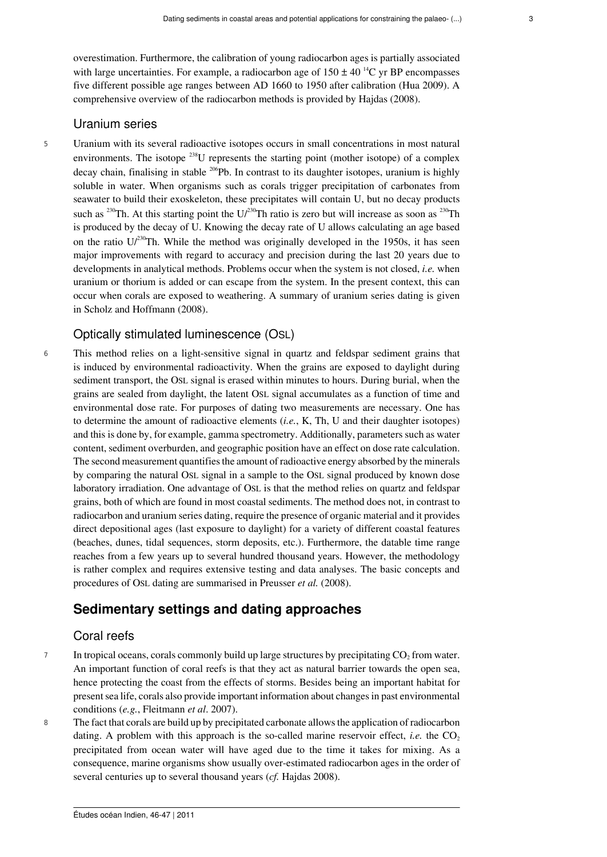overestimation. Furthermore, the calibration of young radiocarbon ages is partially associated with large uncertainties. For example, a radiocarbon age of  $150 \pm 40^{14}$ C yr BP encompasses five different possible age ranges between AD 1660 to 1950 after calibration (Hua 2009). A comprehensive overview of the radiocarbon methods is provided by Hajdas (2008).

# Uranium series

<sup>5</sup> Uranium with its several radioactive isotopes occurs in small concentrations in most natural environments. The isotope  $^{238}$ U represents the starting point (mother isotope) of a complex decay chain, finalising in stable <sup>206</sup>Pb. In contrast to its daughter isotopes, uranium is highly soluble in water. When organisms such as corals trigger precipitation of carbonates from seawater to build their exoskeleton, these precipitates will contain U, but no decay products such as <sup>230</sup>Th. At this starting point the  $U/230$ Th ratio is zero but will increase as soon as  $^{230}$ Th is produced by the decay of U. Knowing the decay rate of U allows calculating an age based on the ratio  $U^{230}$ Th. While the method was originally developed in the 1950s, it has seen major improvements with regard to accuracy and precision during the last 20 years due to developments in analytical methods. Problems occur when the system is not closed, *i.e.* when uranium or thorium is added or can escape from the system. In the present context, this can occur when corals are exposed to weathering. A summary of uranium series dating is given in Scholz and Hoffmann (2008).

### Optically stimulated luminescence (OSL)

<sup>6</sup> This method relies on a light-sensitive signal in quartz and feldspar sediment grains that is induced by environmental radioactivity. When the grains are exposed to daylight during sediment transport, the OSL signal is erased within minutes to hours. During burial, when the grains are sealed from daylight, the latent OSL signal accumulates as a function of time and environmental dose rate. For purposes of dating two measurements are necessary. One has to determine the amount of radioactive elements (*i.e.*, K, Th, U and their daughter isotopes) and this is done by, for example, gamma spectrometry. Additionally, parameters such as water content, sediment overburden, and geographic position have an effect on dose rate calculation. The second measurement quantifies the amount of radioactive energy absorbed by the minerals by comparing the natural OSL signal in a sample to the OSL signal produced by known dose laboratory irradiation. One advantage of OSL is that the method relies on quartz and feldspar grains, both of which are found in most coastal sediments. The method does not, in contrast to radiocarbon and uranium series dating, require the presence of organic material and it provides direct depositional ages (last exposure to daylight) for a variety of different coastal features (beaches, dunes, tidal sequences, storm deposits, etc.). Furthermore, the datable time range reaches from a few years up to several hundred thousand years. However, the methodology is rather complex and requires extensive testing and data analyses. The basic concepts and procedures of OSL dating are summarised in Preusser *et al.* (2008).

# **Sedimentary settings and dating approaches**

## Coral reefs

- 7 In tropical oceans, corals commonly build up large structures by precipitating CO<sub>2</sub> from water. An important function of coral reefs is that they act as natural barrier towards the open sea, hence protecting the coast from the effects of storms. Besides being an important habitat for present sea life, corals also provide important information about changes in past environmental conditions (*e.g.*, Fleitmann *et al*. 2007).
- <sup>8</sup> The fact that corals are build up by precipitated carbonate allows the application of radiocarbon dating. A problem with this approach is the so-called marine reservoir effect, *i.e.* the  $CO<sub>2</sub>$ precipitated from ocean water will have aged due to the time it takes for mixing. As a consequence, marine organisms show usually over-estimated radiocarbon ages in the order of several centuries up to several thousand years (*cf.* Hajdas 2008).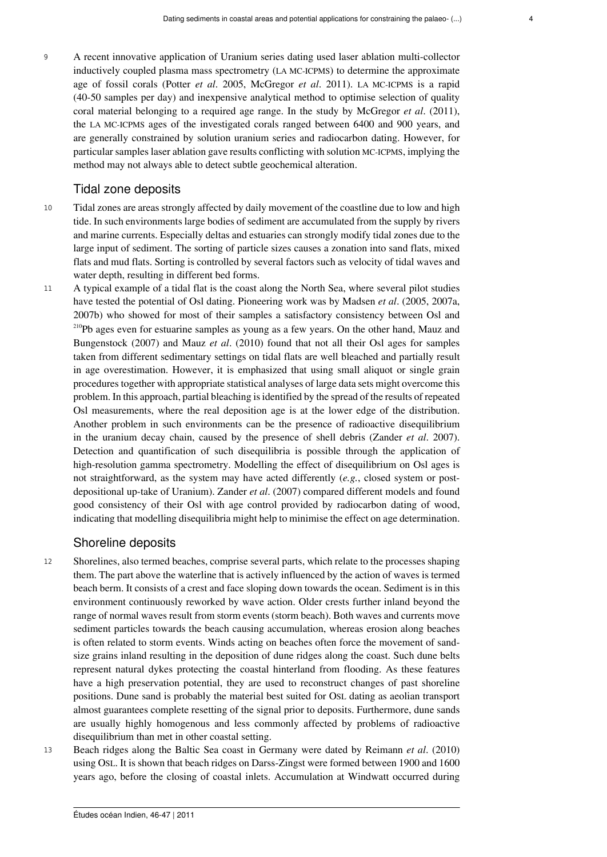<sup>9</sup> A recent innovative application of Uranium series dating used laser ablation multi-collector inductively coupled plasma mass spectrometry (LA MC-ICPMS) to determine the approximate age of fossil corals (Potter *et al*. 2005, McGregor *et al*. 2011). LA MC-ICPMS is a rapid (40-50 samples per day) and inexpensive analytical method to optimise selection of quality coral material belonging to a required age range. In the study by McGregor *et al*. (2011), the LA MC-ICPMS ages of the investigated corals ranged between 6400 and 900 years, and are generally constrained by solution uranium series and radiocarbon dating. However, for particular samples laser ablation gave results conflicting with solution MC-ICPMS, implying the method may not always able to detect subtle geochemical alteration.

#### Tidal zone deposits

- <sup>10</sup> Tidal zones are areas strongly affected by daily movement of the coastline due to low and high tide. In such environments large bodies of sediment are accumulated from the supply by rivers and marine currents. Especially deltas and estuaries can strongly modify tidal zones due to the large input of sediment. The sorting of particle sizes causes a zonation into sand flats, mixed flats and mud flats. Sorting is controlled by several factors such as velocity of tidal waves and water depth, resulting in different bed forms.
- <sup>11</sup> A typical example of a tidal flat is the coast along the North Sea, where several pilot studies have tested the potential of Osl dating. Pioneering work was by Madsen *et al*. (2005, 2007a, 2007b) who showed for most of their samples a satisfactory consistency between Osl and <sup>210</sup>Pb ages even for estuarine samples as young as a few years. On the other hand, Mauz and Bungenstock (2007) and Mauz *et al*. (2010) found that not all their Osl ages for samples taken from different sedimentary settings on tidal flats are well bleached and partially result in age overestimation. However, it is emphasized that using small aliquot or single grain procedures together with appropriate statistical analyses of large data sets might overcome this problem. In this approach, partial bleaching is identified by the spread of the results of repeated Osl measurements, where the real deposition age is at the lower edge of the distribution. Another problem in such environments can be the presence of radioactive disequilibrium in the uranium decay chain, caused by the presence of shell debris (Zander *et al*. 2007). Detection and quantification of such disequilibria is possible through the application of high-resolution gamma spectrometry. Modelling the effect of disequilibrium on Osl ages is not straightforward, as the system may have acted differently (*e.g.*, closed system or postdepositional up-take of Uranium). Zander *et al*. (2007) compared different models and found good consistency of their Osl with age control provided by radiocarbon dating of wood, indicating that modelling disequilibria might help to minimise the effect on age determination.

#### Shoreline deposits

- <sup>12</sup> Shorelines, also termed beaches, comprise several parts, which relate to the processes shaping them. The part above the waterline that is actively influenced by the action of waves is termed beach berm. It consists of a crest and face sloping down towards the ocean. Sediment is in this environment continuously reworked by wave action. Older crests further inland beyond the range of normal waves result from storm events (storm beach). Both waves and currents move sediment particles towards the beach causing accumulation, whereas erosion along beaches is often related to storm events. Winds acting on beaches often force the movement of sandsize grains inland resulting in the deposition of dune ridges along the coast. Such dune belts represent natural dykes protecting the coastal hinterland from flooding. As these features have a high preservation potential, they are used to reconstruct changes of past shoreline positions. Dune sand is probably the material best suited for OSL dating as aeolian transport almost guarantees complete resetting of the signal prior to deposits. Furthermore, dune sands are usually highly homogenous and less commonly affected by problems of radioactive disequilibrium than met in other coastal setting.
- <sup>13</sup> Beach ridges along the Baltic Sea coast in Germany were dated by Reimann *et al*. (2010) using OSL. It is shown that beach ridges on Darss-Zingst were formed between 1900 and 1600 years ago, before the closing of coastal inlets. Accumulation at Windwatt occurred during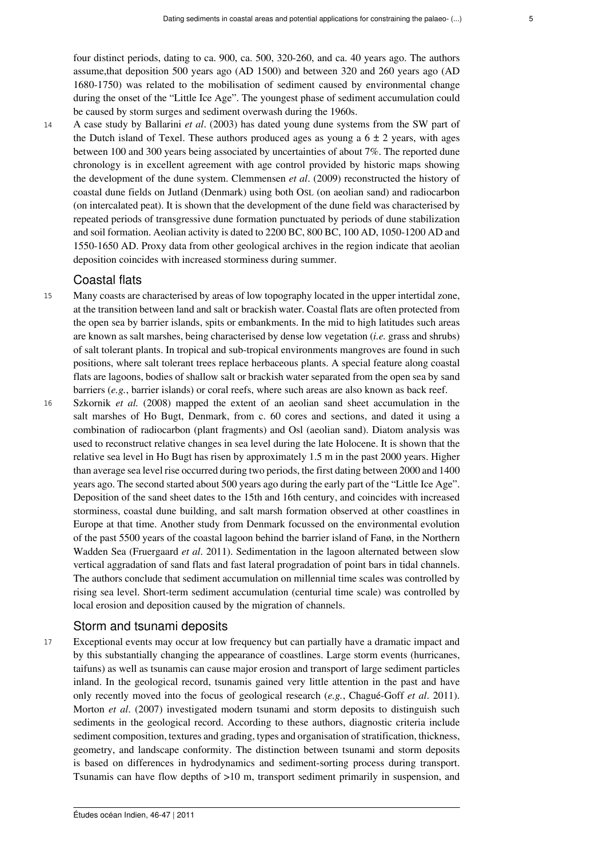four distinct periods, dating to ca. 900, ca. 500, 320-260, and ca. 40 years ago. The authors assume,that deposition 500 years ago (AD 1500) and between 320 and 260 years ago (AD 1680-1750) was related to the mobilisation of sediment caused by environmental change during the onset of the "Little Ice Age". The youngest phase of sediment accumulation could be caused by storm surges and sediment overwash during the 1960s.

<sup>14</sup> A case study by Ballarini *et al*. (2003) has dated young dune systems from the SW part of the Dutch island of Texel. These authors produced ages as young a  $6 \pm 2$  years, with ages between 100 and 300 years being associated by uncertainties of about 7%. The reported dune chronology is in excellent agreement with age control provided by historic maps showing the development of the dune system. Clemmensen *et al*. (2009) reconstructed the history of coastal dune fields on Jutland (Denmark) using both OSL (on aeolian sand) and radiocarbon (on intercalated peat). It is shown that the development of the dune field was characterised by repeated periods of transgressive dune formation punctuated by periods of dune stabilization and soil formation. Aeolian activity is dated to 2200 BC, 800 BC, 100 AD, 1050-1200 AD and 1550-1650 AD. Proxy data from other geological archives in the region indicate that aeolian deposition coincides with increased storminess during summer.

# Coastal flats

- <sup>15</sup> Many coasts are characterised by areas of low topography located in the upper intertidal zone, at the transition between land and salt or brackish water. Coastal flats are often protected from the open sea by barrier islands, spits or embankments. In the mid to high latitudes such areas are known as salt marshes, being characterised by dense low vegetation (*i.e.* grass and shrubs) of salt tolerant plants. In tropical and sub-tropical environments mangroves are found in such positions, where salt tolerant trees replace herbaceous plants. A special feature along coastal flats are lagoons, bodies of shallow salt or brackish water separated from the open sea by sand barriers (*e.g.*, barrier islands) or coral reefs, where such areas are also known as back reef.
- <sup>16</sup> Szkornik *et al.* (2008) mapped the extent of an aeolian sand sheet accumulation in the salt marshes of Ho Bugt, Denmark, from c. 60 cores and sections, and dated it using a combination of radiocarbon (plant fragments) and Osl (aeolian sand). Diatom analysis was used to reconstruct relative changes in sea level during the late Holocene. It is shown that the relative sea level in Ho Bugt has risen by approximately 1.5 m in the past 2000 years. Higher than average sea level rise occurred during two periods, the first dating between 2000 and 1400 years ago. The second started about 500 years ago during the early part of the "Little Ice Age". Deposition of the sand sheet dates to the 15th and 16th century, and coincides with increased storminess, coastal dune building, and salt marsh formation observed at other coastlines in Europe at that time. Another study from Denmark focussed on the environmental evolution of the past 5500 years of the coastal lagoon behind the barrier island of Fanø, in the Northern Wadden Sea (Fruergaard *et al*. 2011). Sedimentation in the lagoon alternated between slow vertical aggradation of sand flats and fast lateral progradation of point bars in tidal channels. The authors conclude that sediment accumulation on millennial time scales was controlled by rising sea level. Short-term sediment accumulation (centurial time scale) was controlled by local erosion and deposition caused by the migration of channels.

# Storm and tsunami deposits

<sup>17</sup> Exceptional events may occur at low frequency but can partially have a dramatic impact and by this substantially changing the appearance of coastlines. Large storm events (hurricanes, taifuns) as well as tsunamis can cause major erosion and transport of large sediment particles inland. In the geological record, tsunamis gained very little attention in the past and have only recently moved into the focus of geological research (*e.g.*, Chagué-Goff *et al*. 2011). Morton *et al*. (2007) investigated modern tsunami and storm deposits to distinguish such sediments in the geological record. According to these authors, diagnostic criteria include sediment composition, textures and grading, types and organisation of stratification, thickness, geometry, and landscape conformity. The distinction between tsunami and storm deposits is based on differences in hydrodynamics and sediment-sorting process during transport. Tsunamis can have flow depths of  $>10$  m, transport sediment primarily in suspension, and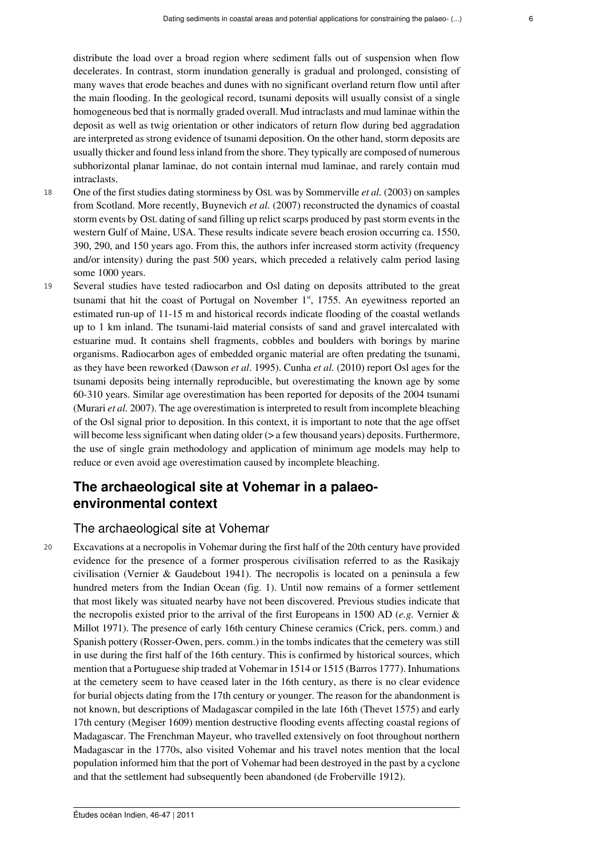distribute the load over a broad region where sediment falls out of suspension when flow decelerates. In contrast, storm inundation generally is gradual and prolonged, consisting of many waves that erode beaches and dunes with no significant overland return flow until after the main flooding. In the geological record, tsunami deposits will usually consist of a single homogeneous bed that is normally graded overall. Mud intraclasts and mud laminae within the deposit as well as twig orientation or other indicators of return flow during bed aggradation are interpreted as strong evidence of tsunami deposition. On the other hand, storm deposits are usually thicker and found less inland from the shore. They typically are composed of numerous subhorizontal planar laminae, do not contain internal mud laminae, and rarely contain mud intraclasts.

- <sup>18</sup> One of the first studies dating storminess by OSL was by Sommerville *et al.* (2003) on samples from Scotland. More recently, Buynevich *et al.* (2007) reconstructed the dynamics of coastal storm events by OSL dating of sand filling up relict scarps produced by past storm events in the western Gulf of Maine, USA. These results indicate severe beach erosion occurring ca. 1550, 390, 290, and 150 years ago. From this, the authors infer increased storm activity (frequency and/or intensity) during the past 500 years, which preceded a relatively calm period lasing some 1000 years.
- <sup>19</sup> Several studies have tested radiocarbon and Osl dating on deposits attributed to the great tsunami that hit the coast of Portugal on November  $1<sup>st</sup>$ , 1755. An eyewitness reported an estimated run-up of 11-15 m and historical records indicate flooding of the coastal wetlands up to 1 km inland. The tsunami-laid material consists of sand and gravel intercalated with estuarine mud. It contains shell fragments, cobbles and boulders with borings by marine organisms. Radiocarbon ages of embedded organic material are often predating the tsunami, as they have been reworked (Dawson *et al*. 1995). Cunha *et al.* (2010) report Osl ages for the tsunami deposits being internally reproducible, but overestimating the known age by some 60-310 years. Similar age overestimation has been reported for deposits of the 2004 tsunami (Murari *et al.* 2007). The age overestimation is interpreted to result from incomplete bleaching of the Osl signal prior to deposition. In this context, it is important to note that the age offset will become less significant when dating older ( $>$  a few thousand years) deposits. Furthermore, the use of single grain methodology and application of minimum age models may help to reduce or even avoid age overestimation caused by incomplete bleaching.

# **The archaeological site at Vohemar in a palaeoenvironmental context**

### The archaeological site at Vohemar

<sup>20</sup> Excavations at a necropolis in Vohemar during the first half of the 20th century have provided evidence for the presence of a former prosperous civilisation referred to as the Rasikajy civilisation (Vernier & Gaudebout 1941). The necropolis is located on a peninsula a few hundred meters from the Indian Ocean (fig. 1). Until now remains of a former settlement that most likely was situated nearby have not been discovered. Previous studies indicate that the necropolis existed prior to the arrival of the first Europeans in 1500 AD (*e.g.* Vernier & Millot 1971). The presence of early 16th century Chinese ceramics (Crick, pers. comm.) and Spanish pottery (Rosser-Owen, pers. comm.) in the tombs indicates that the cemetery was still in use during the first half of the 16th century. This is confirmed by historical sources, which mention that a Portuguese ship traded at Vohemar in 1514 or 1515 (Barros 1777). Inhumations at the cemetery seem to have ceased later in the 16th century, as there is no clear evidence for burial objects dating from the 17th century or younger. The reason for the abandonment is not known, but descriptions of Madagascar compiled in the late 16th (Thevet 1575) and early 17th century (Megiser 1609) mention destructive flooding events affecting coastal regions of Madagascar. The Frenchman Mayeur, who travelled extensively on foot throughout northern Madagascar in the 1770s, also visited Vohemar and his travel notes mention that the local population informed him that the port of Vohemar had been destroyed in the past by a cyclone and that the settlement had subsequently been abandoned (de Froberville 1912).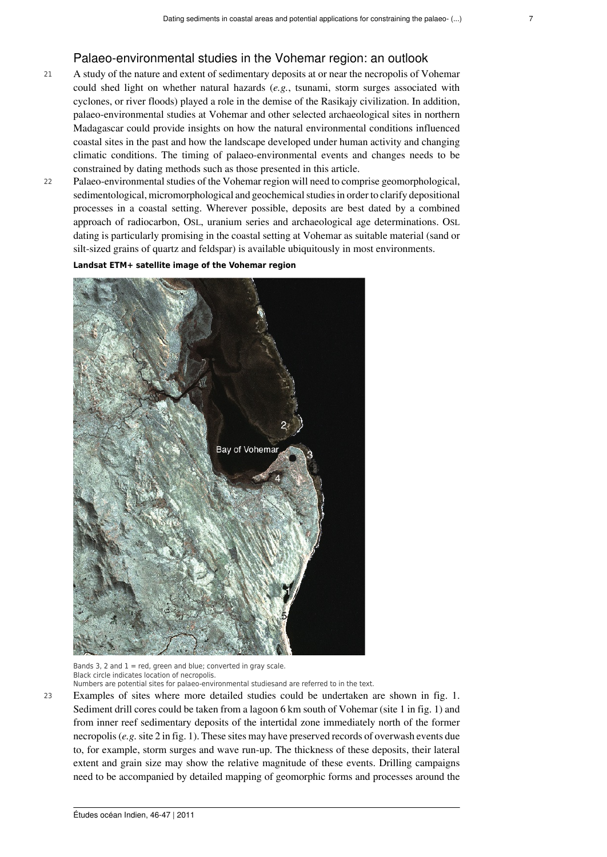# Palaeo-environmental studies in the Vohemar region: an outlook

- <sup>21</sup> A study of the nature and extent of sedimentary deposits at or near the necropolis of Vohemar could shed light on whether natural hazards (*e.g.*, tsunami, storm surges associated with cyclones, or river floods) played a role in the demise of the Rasikajy civilization. In addition, palaeo-environmental studies at Vohemar and other selected archaeological sites in northern Madagascar could provide insights on how the natural environmental conditions influenced coastal sites in the past and how the landscape developed under human activity and changing climatic conditions. The timing of palaeo-environmental events and changes needs to be constrained by dating methods such as those presented in this article.
- <sup>22</sup> Palaeo-environmental studies of the Vohemar region will need to comprise geomorphological, sedimentological, micromorphological and geochemical studies in order to clarify depositional processes in a coastal setting. Wherever possible, deposits are best dated by a combined approach of radiocarbon, OSL, uranium series and archaeological age determinations. OSL dating is particularly promising in the coastal setting at Vohemar as suitable material (sand or silt-sized grains of quartz and feldspar) is available ubiquitously in most environments.

#### **Landsat ETM+ satellite image of the Vohemar region**



Bands 3, 2 and  $1 = red$ , green and blue; converted in gray scale. Black circle indicates location of necropolis.

Numbers are potential sites for palaeo-environmental studiesand are referred to in the text.

<sup>23</sup> Examples of sites where more detailed studies could be undertaken are shown in fig. 1. Sediment drill cores could be taken from a lagoon 6 km south of Vohemar (site 1 in fig. 1) and from inner reef sedimentary deposits of the intertidal zone immediately north of the former necropolis (*e.g.* site 2 in fig. 1). These sites may have preserved records of overwash events due to, for example, storm surges and wave run-up. The thickness of these deposits, their lateral extent and grain size may show the relative magnitude of these events. Drilling campaigns need to be accompanied by detailed mapping of geomorphic forms and processes around the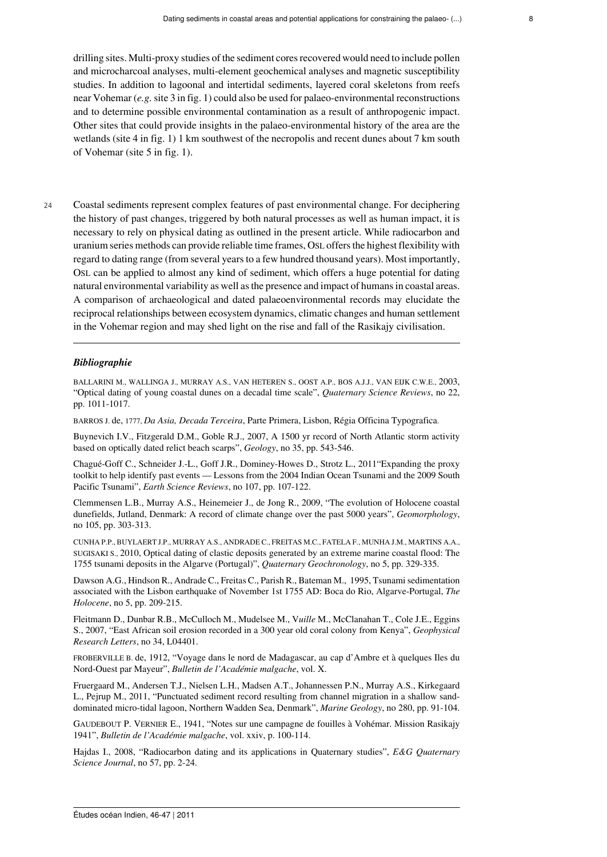drilling sites. Multi-proxy studies of the sediment cores recovered would need to include pollen and microcharcoal analyses, multi-element geochemical analyses and magnetic susceptibility studies. In addition to lagoonal and intertidal sediments, layered coral skeletons from reefs near Vohemar (*e.g.* site 3 in fig. 1) could also be used for palaeo-environmental reconstructions and to determine possible environmental contamination as a result of anthropogenic impact. Other sites that could provide insights in the palaeo-environmental history of the area are the wetlands (site 4 in fig. 1) 1 km southwest of the necropolis and recent dunes about 7 km south of Vohemar (site 5 in fig. 1).

<sup>24</sup> Coastal sediments represent complex features of past environmental change. For deciphering the history of past changes, triggered by both natural processes as well as human impact, it is necessary to rely on physical dating as outlined in the present article. While radiocarbon and uranium series methods can provide reliable time frames, OSL offers the highest flexibility with regard to dating range (from several years to a few hundred thousand years). Most importantly, OSL can be applied to almost any kind of sediment, which offers a huge potential for dating natural environmental variability as well as the presence and impact of humans in coastal areas. A comparison of archaeological and dated palaeoenvironmental records may elucidate the reciprocal relationships between ecosystem dynamics, climatic changes and human settlement in the Vohemar region and may shed light on the rise and fall of the Rasikajy civilisation.

#### *Bibliographie*

BALLARINI M., WALLINGA J., MURRAY A.S., VAN HETEREN S., OOST A.P., BOS A.J.J., VAN EIJK C.W.E., 2003, "Optical dating of young coastal dunes on a decadal time scale", *Quaternary Science Reviews*, no 22, pp. 1011-1017.

BARROS J. de, 1777, *Da Asia, Decada Terceira*, Parte Primera, Lisbon, Régia Officina Typografica.

Buynevich I.V., Fitzgerald D.M., Goble R.J., 2007, A 1500 yr record of North Atlantic storm activity based on optically dated relict beach scarps", *Geology*, no 35, pp. 543-546.

Chagué-Goff C., Schneider J.-L., Goff J.R., Dominey-Howes D., Strotz L., 2011"Expanding the proxy toolkit to help identify past events — Lessons from the 2004 Indian Ocean Tsunami and the 2009 South Pacific Tsunami", *Earth Science Reviews*, no 107, pp. 107-122.

Clemmensen L.B., Murray A.S., Heinemeier J., de Jong R., 2009, "The evolution of Holocene coastal dunefields, Jutland, Denmark: A record of climate change over the past 5000 years", *Geomorphology*, no 105, pp. 303-313.

CUNHA P.P., BUYLAERT J.P., MURRAY A.S., ANDRADE C., FREITAS M.C., FATELA F., MUNHA J.M., MARTINS A.A., SUGISAKI S., 2010, Optical dating of clastic deposits generated by an extreme marine coastal flood: The 1755 tsunami deposits in the Algarve (Portugal)", *Quaternary Geochronology*, no 5, pp. 329-335.

Dawson A.G., Hindson R., Andrade C., Freitas C., Parish R., Bateman M., 1995, Tsunami sedimentation associated with the Lisbon earthquake of November 1st 1755 AD: Boca do Rio, Algarve-Portugal, *The Holocene*, no 5, pp. 209-215.

Fleitmann D., Dunbar R.B., McCulloch M., Mudelsee M., V*uille* M., McClanahan T., Cole J.E., Eggins S., 2007, "East African soil erosion recorded in a 300 year old coral colony from Kenya", *Geophysical Research Letters*, no 34, L04401.

FROBERVILLE B. de, 1912, "Voyage dans le nord de Madagascar, au cap d'Ambre et à quelques Iles du Nord-Ouest par Mayeur", *Bulletin de l'Académie malgache*, vol. X.

Fruergaard M., Andersen T.J., Nielsen L.H., Madsen A.T., Johannessen P.N., Murray A.S., Kirkegaard L., Pejrup M., 2011, "Punctuated sediment record resulting from channel migration in a shallow sanddominated micro-tidal lagoon, Northern Wadden Sea, Denmark", *Marine Geology*, no 280, pp. 91-104.

GAUDEBOUT P. VERNIER E., 1941, "Notes sur une campagne de fouilles à Vohémar. Mission Rasikajy 1941", *Bulletin de l'Académie malgache*, vol. xxiv, p. 100-114.

Hajdas I., 2008, "Radiocarbon dating and its applications in Quaternary studies", *E&G Quaternary Science Journal*, no 57, pp. 2-24.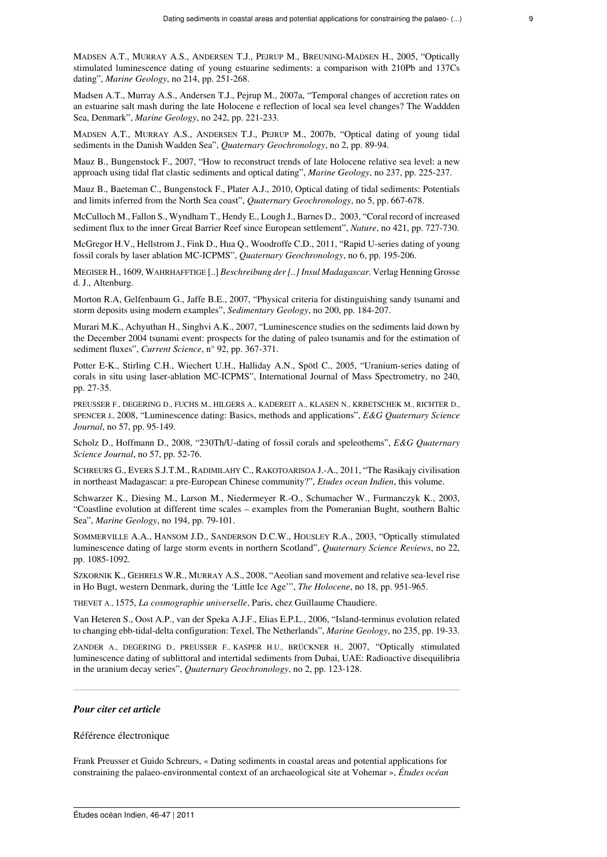MADSEN A.T., MURRAY A.S., ANDERSEN T.J., PEJRUP M., BREUNING-MADSEN H., 2005, "Optically stimulated luminescence dating of young estuarine sediments: a comparison with 210Pb and 137Cs dating", *Marine Geology*, no 214, pp. 251-268.

Madsen A.T., Murray A.S., Andersen T.J., Pejrup M., 2007a, "Temporal changes of accretion rates on an estuarine salt mash during the late Holocene e reflection of local sea level changes? The Waddden Sea, Denmark", *Marine Geology*, no 242, pp. 221-233.

MADSEN A.T., MURRAY A.S., ANDERSEN T.J., PEJRUP M., 2007b, "Optical dating of young tidal sediments in the Danish Wadden Sea", *Quaternary Geochronology*, no 2, pp. 89-94.

Mauz B., Bungenstock F., 2007, "How to reconstruct trends of late Holocene relative sea level: a new approach using tidal flat clastic sediments and optical dating", *Marine Geology*, no 237, pp. 225-237.

Mauz B., Baeteman C., Bungenstock F., Plater A.J., 2010, Optical dating of tidal sediments: Potentials and limits inferred from the North Sea coast", *Quaternary Geochronology*, no 5, pp. 667-678.

McCulloch M., Fallon S., Wyndham T., Hendy E., Lough J., Barnes D., 2003, "Coral record of increased sediment flux to the inner Great Barrier Reef since European settlement", *Nature*, no 421, pp. 727-730.

McGregor H.V., Hellstrom J., Fink D., Hua Q., Woodroffe C.D., 2011, "Rapid U-series dating of young fossil corals by laser ablation MC-ICPMS", *Quaternary Geochronology*, no 6, pp. 195-206.

MEGISER H., 1609, WAHRHAFFTIGE [..] *Beschreibung der [..] Insul Madagascar*. Verlag Henning Grosse d. J., Altenburg.

Morton R.A, Gelfenbaum G., Jaffe B.E., 2007, "Physical criteria for distinguishing sandy tsunami and storm deposits using modern examples", *Sedimentary Geology*, no 200, pp. 184-207.

Murari M.K., Achyuthan H., Singhvi A.K., 2007, "Luminescence studies on the sediments laid down by the December 2004 tsunami event: prospects for the dating of paleo tsunamis and for the estimation of sediment fluxes", *Current Science*, n° 92, pp. 367-371.

Potter E-K., Stirling C.H., Wiechert U.H., Halliday A.N., Spötl C., 2005, "Uranium-series dating of corals in situ using laser-ablation MC-ICPMS", International Journal of Mass Spectrometry, no 240, pp. 27-35.

PREUSSER F., DEGERING D., FUCHS M., HILGERS A., KADEREIT A., KLASEN N., KRBETSCHEK M., RICHTER D., SPENCER J., 2008, "Luminescence dating: Basics, methods and applications", *E&G Quaternary Science Journal*, no 57, pp. 95-149.

Scholz D., Hoffmann D., 2008, "230Th/U-dating of fossil corals and speleothems", *E&G Quaternary Science Journal*, no 57, pp. 52-76.

SCHREURS G., EVERS S.J.T.M., RADIMILAHY C., RAKOTOARISOA J.-A., 2011, "The Rasikajy civilisation in northeast Madagascar: a pre-European Chinese community?", *Etudes ocean Indien*, this volume.

Schwarzer K., Diesing M., Larson M., Niedermeyer R.-O., Schumacher W., Furmanczyk K., 2003, "Coastline evolution at different time scales – examples from the Pomeranian Bught, southern Baltic Sea", *Marine Geology*, no 194, pp. 79-101.

SOMMERVILLE A.A., HANSOM J.D., SANDERSON D.C.W., HOUSLEY R.A., 2003, "Optically stimulated luminescence dating of large storm events in northern Scotland", *Quaternary Science Reviews*, no 22, pp. 1085-1092.

SZKORNIK K., GEHRELS W.R., MURRAY A.S., 2008, "Aeolian sand movement and relative sea-level rise in Ho Bugt, western Denmark, during the 'Little Ice Age'", *The Holocene*, no 18, pp. 951-965.

THEVET A., 1575, *La cosmographie universelle*, Paris, chez Guillaume Chaudiere.

Van Heteren S., Oost A.P., van der Speka A.J.F., Elias E.P.L., 2006, "Island-terminus evolution related to changing ebb-tidal-delta configuration: Texel, The Netherlands", *Marine Geology*, no 235, pp. 19-33.

ZANDER A., DEGERING D., PREUSSER F., KASPER H.U., BRÜCKNER H., 2007, "Optically stimulated luminescence dating of sublittoral and intertidal sediments from Dubai, UAE: Radioactive disequilibria in the uranium decay series", *Quaternary Geochronology*, no 2, pp. 123-128.

#### *Pour citer cet article*

#### Référence électronique

Frank Preusser et Guido Schreurs, « Dating sediments in coastal areas and potential applications for constraining the palaeo-environmental context of an archaeological site at Vohemar », *Études océan*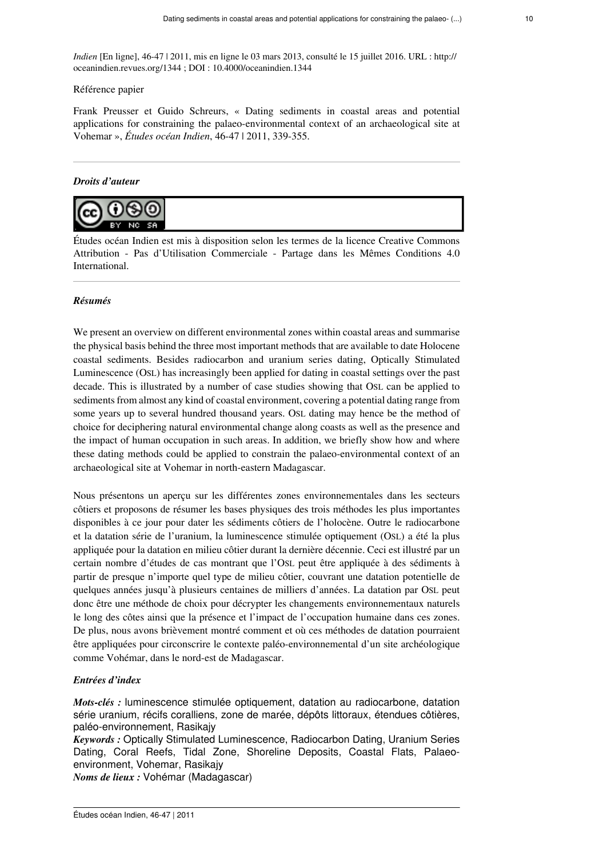*Indien* [En ligne], 46-47 | 2011, mis en ligne le 03 mars 2013, consulté le 15 juillet 2016. URL : http:// oceanindien.revues.org/1344 ; DOI : 10.4000/oceanindien.1344

#### Référence papier

Frank Preusser et Guido Schreurs, « Dating sediments in coastal areas and potential applications for constraining the palaeo-environmental context of an archaeological site at Vohemar », *Études océan Indien*, 46-47 | 2011, 339-355.

#### *Droits d'auteur*



Études océan Indien est mis à disposition selon les termes de la [licence Creative Commons](http://creativecommons.org/licenses/by-nc-sa/4.0/) [Attribution - Pas d'Utilisation Commerciale - Partage dans les Mêmes Conditions 4.0](http://creativecommons.org/licenses/by-nc-sa/4.0/) [International](http://creativecommons.org/licenses/by-nc-sa/4.0/).

#### *Résumés*

We present an overview on different environmental zones within coastal areas and summarise the physical basis behind the three most important methods that are available to date Holocene coastal sediments. Besides radiocarbon and uranium series dating, Optically Stimulated Luminescence (OSL) has increasingly been applied for dating in coastal settings over the past decade. This is illustrated by a number of case studies showing that OSL can be applied to sediments from almost any kind of coastal environment, covering a potential dating range from some years up to several hundred thousand years. OSL dating may hence be the method of choice for deciphering natural environmental change along coasts as well as the presence and the impact of human occupation in such areas. In addition, we briefly show how and where these dating methods could be applied to constrain the palaeo-environmental context of an archaeological site at Vohemar in north-eastern Madagascar.

Nous présentons un aperçu sur les différentes zones environnementales dans les secteurs côtiers et proposons de résumer les bases physiques des trois méthodes les plus importantes disponibles à ce jour pour dater les sédiments côtiers de l'holocène. Outre le radiocarbone et la datation série de l'uranium, la luminescence stimulée optiquement (OSL) a été la plus appliquée pour la datation en milieu côtier durant la dernière décennie. Ceci est illustré par un certain nombre d'études de cas montrant que l'OSL peut être appliquée à des sédiments à partir de presque n'importe quel type de milieu côtier, couvrant une datation potentielle de quelques années jusqu'à plusieurs centaines de milliers d'années. La datation par OSL peut donc être une méthode de choix pour décrypter les changements environnementaux naturels le long des côtes ainsi que la présence et l'impact de l'occupation humaine dans ces zones. De plus, nous avons brièvement montré comment et où ces méthodes de datation pourraient être appliquées pour circonscrire le contexte paléo-environnemental d'un site archéologique comme Vohémar, dans le nord-est de Madagascar.

#### *Entrées d'index*

*Mots-clés :* luminescence stimulée optiquement, datation au radiocarbone, datation série uranium, récifs coralliens, zone de marée, dépôts littoraux, étendues côtières, paléo-environnement, Rasikajy

*Keywords :* Optically Stimulated Luminescence, Radiocarbon Dating, Uranium Series Dating, Coral Reefs, Tidal Zone, Shoreline Deposits, Coastal Flats, Palaeoenvironment, Vohemar, Rasikajy

*Noms de lieux :* Vohémar (Madagascar)